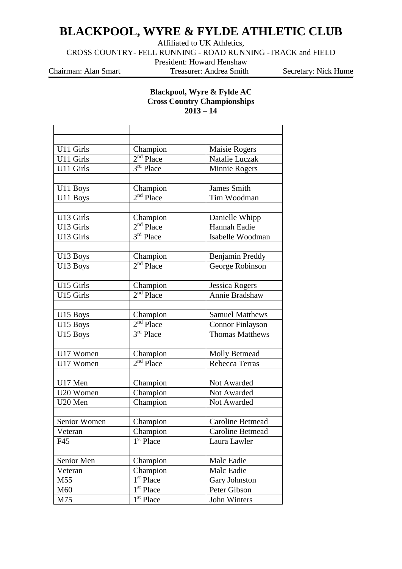## **BLACKPOOL, WYRE & FYLDE ATHLETIC CLUB**

Affiliated to UK Athletics,

CROSS COUNTRY- FELL RUNNING - ROAD RUNNING -TRACK and FIELD

President: Howard Henshaw

Chairman: Alan Smart Treasurer: Andrea Smith Secretary: Nick Hume

## **Blackpool, Wyre & Fylde AC Cross Country Championships 2013 – 14**

| U11 Girls    | Champion              | Maisie Rogers           |  |
|--------------|-----------------------|-------------------------|--|
| U11 Girls    | $2nd$ Place           | Natalie Luczak          |  |
| U11 Girls    | $3rd$ Place           | Minnie Rogers           |  |
|              |                       |                         |  |
| U11 Boys     | Champion              | James Smith             |  |
| U11 Boys     | $2nd$ Place           | Tim Woodman             |  |
|              |                       |                         |  |
| U13 Girls    | Champion              | Danielle Whipp          |  |
| U13 Girls    | $2nd$ Place           | Hannah Eadie            |  |
| U13 Girls    | 3rd Place             | Isabelle Woodman        |  |
|              |                       |                         |  |
| U13 Boys     | Champion              | Benjamin Preddy         |  |
| U13 Boys     | $2nd$ Place           | George Robinson         |  |
|              |                       |                         |  |
| U15 Girls    | Champion              | Jessica Rogers          |  |
| U15 Girls    | $2nd$ Place           | Annie Bradshaw          |  |
|              |                       |                         |  |
| U15 Boys     | Champion              | <b>Samuel Matthews</b>  |  |
| U15 Boys     | $2nd$ Place           | <b>Connor Finlayson</b> |  |
| U15 Boys     | 3 <sup>rd</sup> Place | <b>Thomas Matthews</b>  |  |
|              |                       |                         |  |
| U17 Women    | Champion              | <b>Molly Betmead</b>    |  |
| U17 Women    | $2nd$ Place           | Rebecca Terras          |  |
|              |                       |                         |  |
| U17 Men      | Champion              | Not Awarded             |  |
| U20 Women    | Champion              | Not Awarded             |  |
| U20 Men      | Champion              | Not Awarded             |  |
|              |                       |                         |  |
| Senior Women | Champion              | <b>Caroline Betmead</b> |  |
| Veteran      | Champion              | <b>Caroline Betmead</b> |  |
| F45          | 1 <sup>st</sup> Place | Laura Lawler            |  |
|              |                       |                         |  |
| Senior Men   | Champion              | Malc Eadie              |  |
| Veteran      | Champion              | Malc Eadie              |  |
| M55          | 1 <sup>st</sup> Place | Gary Johnston           |  |
| M60          | 1 <sup>st</sup> Place | Peter Gibson            |  |
| M75          | 1 <sup>st</sup> Place | John Winters            |  |